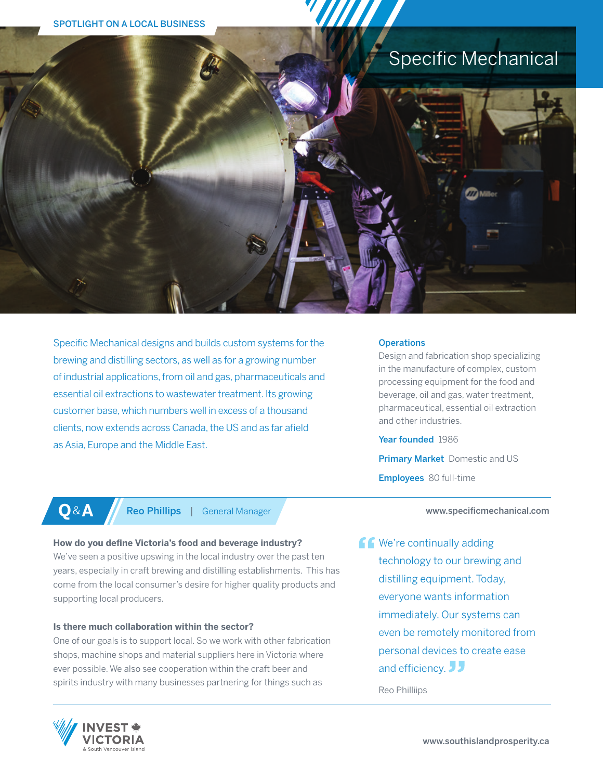# Specific Mechanical



### **Operations**

Design and fabrication shop specializing in the manufacture of complex, custom processing equipment for the food and beverage, oil and gas, water treatment, pharmaceutical, essential oil extraction and other industries.

Year founded 1986

**Primary Market** Domestic and US Employees 80 full-time

**Q**&**A** Reo Phillips | General Manager

### **How do you define Victoria's food and beverage industry?**

We've seen a positive upswing in the local industry over the past ten years, especially in craft brewing and distilling establishments. This has come from the local consumer's desire for higher quality products and supporting local producers.

### **Is there much collaboration within the sector?**

One of our goals is to support local. So we work with other fabrication shops, machine shops and material suppliers here in Victoria where ever possible. We also see cooperation within the craft beer and spirits industry with many businesses partnering for things such as

www.specificmechanical.com

**CC** We're continually adding technology to our brewing and distilling equipment. Today, everyone wants information immediately. Our systems can even be remotely monitored from personal devices to create ease and efficiency.

Reo Philliips